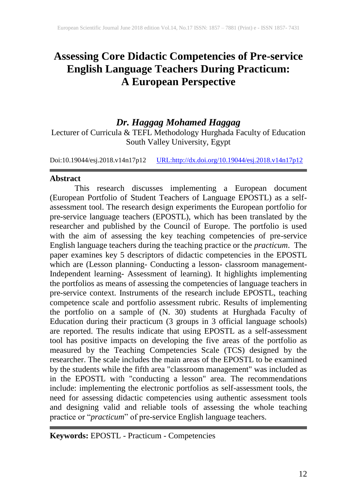# **Assessing Core Didactic Competencies of Pre-service English Language Teachers During Practicum: A European Perspective**

## *Dr. Haggag Mohamed Haggag*

Lecturer of Curricula & TEFL Methodology Hurghada Faculty of Education South Valley University, Egypt

Doi:10.19044/esj.2018.v14n17p12 [URL:http://dx.doi.org/10.19044/esj.2018.v14n17p12](http://dx.doi.org/10.19044/esj.2018.v14n17p12)

#### **Abstract**

This research discusses implementing a European document (European Portfolio of Student Teachers of Language EPOSTL) as a selfassessment tool. The research design experiments the European portfolio for pre-service language teachers (EPOSTL), which has been translated by the researcher and published by the Council of Europe. The portfolio is used with the aim of assessing the key teaching competencies of pre-service English language teachers during the teaching practice or the *practicum*. The paper examines key 5 descriptors of didactic competencies in the EPOSTL which are (Lesson planning- Conducting a lesson- classroom management-Independent learning- Assessment of learning). It highlights implementing the portfolios as means of assessing the competencies of language teachers in pre-service context. Instruments of the research include EPOSTL, teaching competence scale and portfolio assessment rubric. Results of implementing the portfolio on a sample of (N. 30) students at Hurghada Faculty of Education during their practicum (3 groups in 3 official language schools) are reported. The results indicate that using EPOSTL as a self-assessment tool has positive impacts on developing the five areas of the portfolio as measured by the Teaching Competencies Scale (TCS) designed by the researcher. The scale includes the main areas of the EPOSTL to be examined by the students while the fifth area "classroom management" was included as in the EPOSTL with "conducting a lesson" area. The recommendations include: implementing the electronic portfolios as self-assessment tools, the need for assessing didactic competencies using authentic assessment tools and designing valid and reliable tools of assessing the whole teaching practice or "*practicum*" of pre-service English language teachers.

**Keywords:** EPOSTL - Practicum - Competencies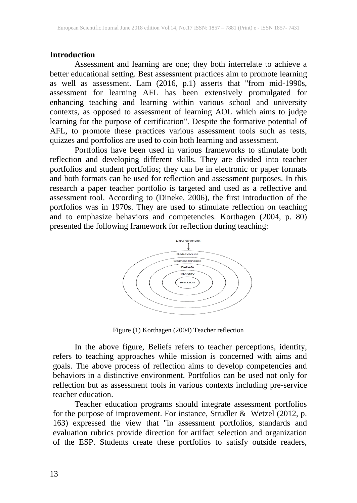#### **Introduction**

Assessment and learning are one; they both interrelate to achieve a better educational setting. Best assessment practices aim to promote learning as well as assessment. Lam (2016, p.1) asserts that "from mid-1990s, assessment for learning AFL has been extensively promulgated for enhancing teaching and learning within various school and university contexts, as opposed to assessment of learning AOL which aims to judge learning for the purpose of certification". Despite the formative potential of AFL, to promote these practices various assessment tools such as tests, quizzes and portfolios are used to coin both learning and assessment.

Portfolios have been used in various frameworks to stimulate both reflection and developing different skills. They are divided into teacher portfolios and student portfolios; they can be in electronic or paper formats and both formats can be used for reflection and assessment purposes. In this research a paper teacher portfolio is targeted and used as a reflective and assessment tool. According to (Dineke, 2006), the first introduction of the portfolios was in 1970s. They are used to stimulate reflection on teaching and to emphasize behaviors and competencies. Korthagen (2004, p. 80) presented the following framework for reflection during teaching:



Figure (1) Korthagen (2004) Teacher reflection

In the above figure, Beliefs refers to teacher perceptions, identity, refers to teaching approaches while mission is concerned with aims and goals. The above process of reflection aims to develop competencies and behaviors in a distinctive environment. Portfolios can be used not only for reflection but as assessment tools in various contexts including pre-service teacher education.

Teacher education programs should integrate assessment portfolios for the purpose of improvement. For instance, Strudler & Wetzel (2012, p. 163) expressed the view that "in assessment portfolios, standards and evaluation rubrics provide direction for artifact selection and organization of the ESP. Students create these portfolios to satisfy outside readers,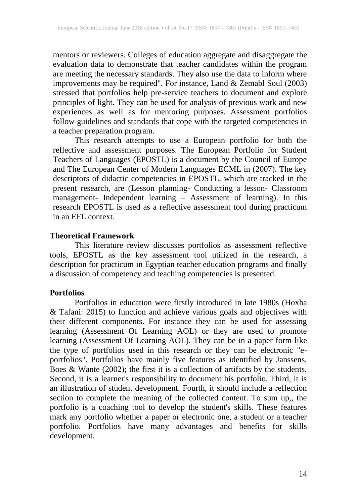mentors or reviewers. Colleges of education aggregate and disaggregate the evaluation data to demonstrate that teacher candidates within the program are meeting the necessary standards. They also use the data to inform where improvements may be required". For instance, Land & Zemabl Soul (2003) stressed that portfolios help pre-service teachers to document and explore principles of light. They can be used for analysis of previous work and new experiences as well as for mentoring purposes. Assessment portfolios follow guidelines and standards that cope with the targeted competencies in a teacher preparation program.

This research attempts to use a European portfolio for both the reflective and assessment purposes. The European Portfolio for Student Teachers of Languages (EPOSTL) is a document by the Council of Europe and The European Center of Modern Languages ECML in (2007). The key descriptors of didactic competencies in EPOSTL, which are tracked in the present research, are (Lesson planning- Conducting a lesson- Classroom management- Independent learning – Assessment of learning). In this research EPOSTL is used as a reflective assessment tool during practicum in an EFL context.

#### **Theoretical Framework**

This literature review discusses portfolios as assessment reflective tools, EPOSTL as the key assessment tool utilized in the research, a description for practicum in Egyptian teacher education programs and finally a discussion of competency and teaching competencies is presented.

#### **Portfolios**

Portfolios in education were firstly introduced in late 1980s (Hoxha & Tafani: 2015) to function and achieve various goals and objectives with their different components. For instance they can be used for assessing learning (Assessment Of Learning AOL) or they are used to promote learning (Assessment Of Learning AOL). They can be in a paper form like the type of portfolios used in this research or they can be electronic "eportfolios". Portfolios have mainly five features as identified by Janssens, Boes & Wante (2002); the first it is a collection of artifacts by the students. Second, it is a learner's responsibility to document his portfolio. Third, it is an illustration of student development. Fourth, it should include a reflection section to complete the meaning of the collected content. To sum up,, the portfolio is a coaching tool to develop the student's skills. These features mark any portfolio whether a paper or electronic one, a student or a teacher portfolio. Portfolios have many advantages and benefits for skills development.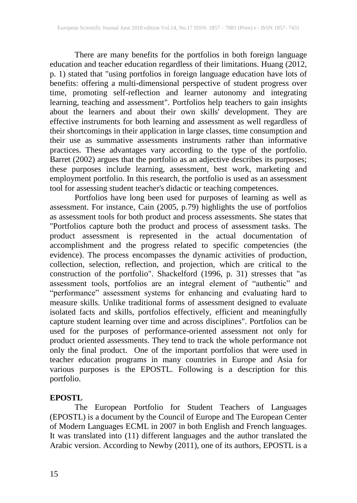There are many benefits for the portfolios in both foreign language education and teacher education regardless of their limitations. Huang (2012, p. 1) stated that "using portfolios in foreign language education have lots of benefits: offering a multi-dimensional perspective of student progress over time, promoting self-reflection and learner autonomy and integrating learning, teaching and assessment". Portfolios help teachers to gain insights about the learners and about their own skills' development. They are effective instruments for both learning and assessment as well regardless of their shortcomings in their application in large classes, time consumption and their use as summative assessments instruments rather than informative practices. These advantages vary according to the type of the portfolio. Barret (2002) argues that the portfolio as an adjective describes its purposes; these purposes include learning, assessment, best work, marketing and employment portfolio. In this research, the portfolio is used as an assessment tool for assessing student teacher's didactic or teaching competences.

Portfolios have long been used for purposes of learning as well as assessment. For instance, Cain (2005, p.79) highlights the use of portfolios as assessment tools for both product and process assessments. She states that "Portfolios capture both the product and process of assessment tasks. The product assessment is represented in the actual documentation of accomplishment and the progress related to specific competencies (the evidence). The process encompasses the dynamic activities of production, collection, selection, reflection, and projection, which are critical to the construction of the portfolio". Shackelford (1996, p. 31) stresses that "as assessment tools, portfolios are an integral element of "authentic" and "performance" assessment systems for enhancing and evaluating hard to measure skills. Unlike traditional forms of assessment designed to evaluate isolated facts and skills, portfolios effectively, efficient and meaningfully capture student learning over time and across disciplines". Portfolios can be used for the purposes of performance-oriented assessment not only for product oriented assessments. They tend to track the whole performance not only the final product. One of the important portfolios that were used in teacher education programs in many countries in Europe and Asia for various purposes is the EPOSTL. Following is a description for this portfolio.

## **EPOSTL**

The European Portfolio for Student Teachers of Languages (EPOSTL) is a document by the Council of Europe and The European Center of Modern Languages ECML in 2007 in both English and French languages. It was translated into (11) different languages and the author translated the Arabic version. According to Newby (2011), one of its authors, EPOSTL is a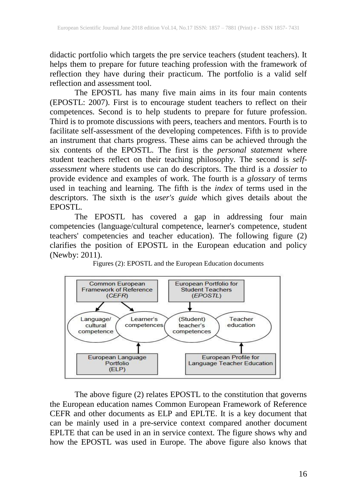didactic portfolio which targets the pre service teachers (student teachers). It helps them to prepare for future teaching profession with the framework of reflection they have during their practicum. The portfolio is a valid self reflection and assessment tool.

The EPOSTL has many five main aims in its four main contents (EPOSTL: 2007). First is to encourage student teachers to reflect on their competences. Second is to help students to prepare for future profession. Third is to promote discussions with peers, teachers and mentors. Fourth is to facilitate self-assessment of the developing competences. Fifth is to provide an instrument that charts progress. These aims can be achieved through the six contents of the EPOSTL. The first is the *personal statement* where student teachers reflect on their teaching philosophy. The second is *selfassessment* where students use can do descriptors. The third is a *dossier* to provide evidence and examples of work. The fourth is a *glossary* of terms used in teaching and learning. The fifth is the *index* of terms used in the descriptors. The sixth is the *user's guide* which gives details about the EPOSTL.

The EPOSTL has covered a gap in addressing four main competencies (language/cultural competence, learner's competence, student teachers' competencies and teacher education). The following figure (2) clarifies the position of EPOSTL in the European education and policy (Newby: 2011).





The above figure (2) relates EPOSTL to the constitution that governs the European education names Common European Framework of Reference CEFR and other documents as ELP and EPLTE. It is a key document that can be mainly used in a pre-service context compared another document EPLTE that can be used in an in service context. The figure shows why and how the EPOSTL was used in Europe. The above figure also knows that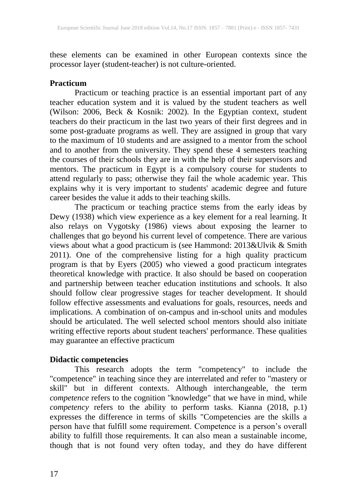these elements can be examined in other European contexts since the processor layer (student-teacher) is not culture-oriented.

### **Practicum**

Practicum or teaching practice is an essential important part of any teacher education system and it is valued by the student teachers as well (Wilson: 2006, Beck & Kosnik: 2002). In the Egyptian context, student teachers do their practicum in the last two years of their first degrees and in some post-graduate programs as well. They are assigned in group that vary to the maximum of 10 students and are assigned to a mentor from the school and to another from the university. They spend these 4 semesters teaching the courses of their schools they are in with the help of their supervisors and mentors. The practicum in Egypt is a compulsory course for students to attend regularly to pass; otherwise they fail the whole academic year. This explains why it is very important to students' academic degree and future career besides the value it adds to their teaching skills.

The practicum or teaching practice stems from the early ideas by Dewy (1938) which view experience as a key element for a real learning. It also relays on Vygotsky (1986) views about exposing the learner to challenges that go beyond his current level of competence. There are various views about what a good practicum is (see Hammond: 2013&Ulvik & Smith 2011). One of the comprehensive listing for a high quality practicum program is that by Eyers (2005) who viewed a good practicum integrates theoretical knowledge with practice. It also should be based on cooperation and partnership between teacher education institutions and schools. It also should follow clear progressive stages for teacher development. It should follow effective assessments and evaluations for goals, resources, needs and implications. A combination of on-campus and in-school units and modules should be articulated. The well selected school mentors should also initiate writing effective reports about student teachers' performance. These qualities may guarantee an effective practicum

## **Didactic competencies**

This research adopts the term "competency" to include the "competence" in teaching since they are interrelated and refer to "mastery or skill" but in different contexts. Although interchangeable, the term *competence* refers to the cognition "knowledge" that we have in mind, while *competency* refers to the ability to perform tasks. Kianna (2018, p.1) expresses the difference in terms of skills "Competencies are the skills a person have that fulfill some requirement. Competence is a person's overall ability to fulfill those requirements. It can also mean a sustainable income, though that is not found very often today, and they do have different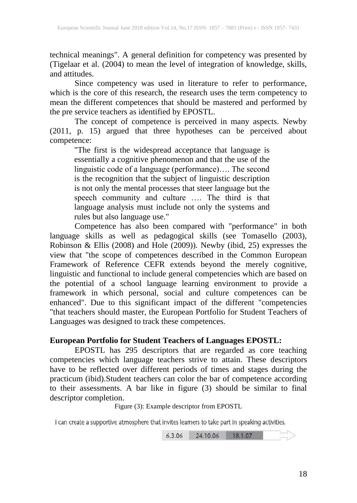technical meanings". A general definition for competency was presented by (Tigelaar et al. (2004) to mean the level of integration of knowledge, skills, and attitudes.

Since competency was used in literature to refer to performance, which is the core of this research, the research uses the term competency to mean the different competences that should be mastered and performed by the pre service teachers as identified by EPOSTL.

The concept of competence is perceived in many aspects. Newby (2011, p. 15) argued that three hypotheses can be perceived about competence:

"The first is the widespread acceptance that language is essentially a cognitive phenomenon and that the use of the linguistic code of a language (performance)…. The second is the recognition that the subject of linguistic description is not only the mental processes that steer language but the speech community and culture …. The third is that language analysis must include not only the systems and rules but also language use."

Competence has also been compared with "performance" in both language skills as well as pedagogical skills (see Tomasello (2003), Robinson & Ellis (2008) and Hole (2009)). Newby (ibid, 25) expresses the view that "the scope of competences described in the Common European Framework of Reference CEFR extends beyond the merely cognitive, linguistic and functional to include general competencies which are based on the potential of a school language learning environment to provide a framework in which personal, social and culture competences can be enhanced". Due to this significant impact of the different "competencies "that teachers should master, the European Portfolio for Student Teachers of Languages was designed to track these competences.

#### **European Portfolio for Student Teachers of Languages EPOSTL:**

EPOSTL has 295 descriptors that are regarded as core teaching competencies which language teachers strive to attain. These descriptors have to be reflected over different periods of times and stages during the practicum (ibid).Student teachers can color the bar of competence according to their assessments. A bar like in figure (3) should be similar to final descriptor completion.

Figure (3): Example descriptor from EPOSTL

I can create a supportive atmosphere that invites learners to take part in speaking activities.

24.10.06 18.1.07  $6.3.06$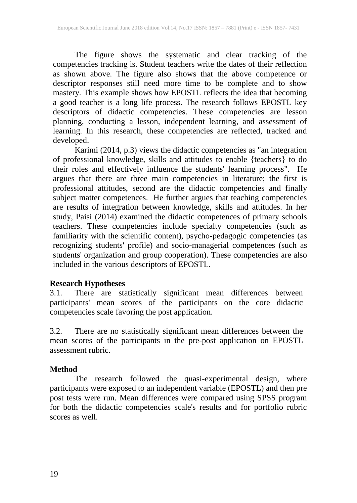The figure shows the systematic and clear tracking of the competencies tracking is. Student teachers write the dates of their reflection as shown above. The figure also shows that the above competence or descriptor responses still need more time to be complete and to show mastery. This example shows how EPOSTL reflects the idea that becoming a good teacher is a long life process. The research follows EPOSTL key descriptors of didactic competencies. These competencies are lesson planning, conducting a lesson, independent learning, and assessment of learning. In this research, these competencies are reflected, tracked and developed.

Karimi (2014, p.3) views the didactic competencies as "an integration of professional knowledge, skills and attitudes to enable {teachers} to do their roles and effectively influence the students' learning process". He argues that there are three main competencies in literature; the first is professional attitudes, second are the didactic competencies and finally subject matter competences. He further argues that teaching competencies are results of integration between knowledge, skills and attitudes. In her study, Paisi (2014) examined the didactic competences of primary schools teachers. These competencies include specialty competencies (such as familiarity with the scientific content), psycho-pedagogic competencies (as recognizing students' profile) and socio-managerial competences (such as students' organization and group cooperation). These competencies are also included in the various descriptors of EPOSTL.

#### **Research Hypotheses**

3.1. There are statistically significant mean differences between participants' mean scores of the participants on the core didactic competencies scale favoring the post application.

3.2. There are no statistically significant mean differences between the mean scores of the participants in the pre-post application on EPOSTL assessment rubric.

## **Method**

The research followed the quasi-experimental design, where participants were exposed to an independent variable (EPOSTL) and then pre post tests were run. Mean differences were compared using SPSS program for both the didactic competencies scale's results and for portfolio rubric scores as well.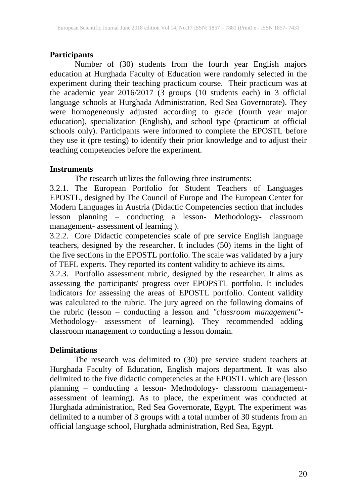## **Participants**

Number of (30) students from the fourth year English majors education at Hurghada Faculty of Education were randomly selected in the experiment during their teaching practicum course. Their practicum was at the academic year 2016/2017 (3 groups (10 students each) in 3 official language schools at Hurghada Administration, Red Sea Governorate). They were homogeneously adjusted according to grade (fourth year major education), specialization (English), and school type (practicum at official schools only). Participants were informed to complete the EPOSTL before they use it (pre testing) to identify their prior knowledge and to adjust their teaching competencies before the experiment.

## **Instruments**

The research utilizes the following three instruments:

3.2.1. The European Portfolio for Student Teachers of Languages EPOSTL, designed by The Council of Europe and The European Center for Modern Languages in Austria (Didactic Competencies section that includes lesson planning – conducting a lesson- Methodology- classroom management- assessment of learning ).

3.2.2. Core Didactic competencies scale of pre service English language teachers, designed by the researcher. It includes (50) items in the light of the five sections in the EPOSTL portfolio. The scale was validated by a jury of TEFL experts. They reported its content validity to achieve its aims.

3.2.3. Portfolio assessment rubric, designed by the researcher. It aims as assessing the participants' progress over EPOPSTL portfolio. It includes indicators for assessing the areas of EPOSTL portfolio. Content validity was calculated to the rubric. The jury agreed on the following domains of the rubric (lesson – conducting a lesson and *"classroom management*"- Methodology- assessment of learning). They recommended adding classroom management to conducting a lesson domain.

## **Delimitations**

The research was delimited to (30) pre service student teachers at Hurghada Faculty of Education, English majors department. It was also delimited to the five didactic competencies at the EPOSTL which are (lesson planning – conducting a lesson- Methodology- classroom managementassessment of learning). As to place, the experiment was conducted at Hurghada administration, Red Sea Governorate, Egypt. The experiment was delimited to a number of 3 groups with a total number of 30 students from an official language school, Hurghada administration, Red Sea, Egypt.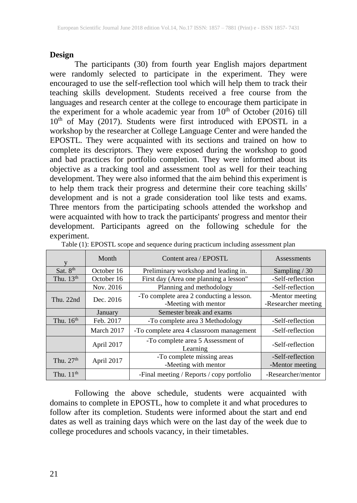#### **Design**

The participants (30) from fourth year English majors department were randomly selected to participate in the experiment. They were encouraged to use the self-reflection tool which will help them to track their teaching skills development. Students received a free course from the languages and research center at the college to encourage them participate in the experiment for a whole academic year from  $10<sup>th</sup>$  of October (2016) till 10<sup>th</sup> of May (2017). Students were first introduced with EPOSTL in a workshop by the researcher at College Language Center and were handed the EPOSTL. They were acquainted with its sections and trained on how to complete its descriptors. They were exposed during the workshop to good and bad practices for portfolio completion. They were informed about its objective as a tracking tool and assessment tool as well for their teaching development. They were also informed that the aim behind this experiment is to help them track their progress and determine their core teaching skills' development and is not a grade consideration tool like tests and exams. Three mentors from the participating schools attended the workshop and were acquainted with how to track the participants' progress and mentor their development. Participants agreed on the following schedule for the experiment.

|                       | Month      | Content area / EPOSTL                                            | Assessments                            |
|-----------------------|------------|------------------------------------------------------------------|----------------------------------------|
| Sat. 8th              | October 16 | Preliminary workshop and leading in.                             | Sampling $/30$                         |
| Thu. 13 <sup>th</sup> | October 16 | First day (Area one planning a lesson"                           | -Self-reflection                       |
|                       | Nov. 2016  | Planning and methodology                                         | -Self-reflection                       |
| Thu. 22nd             | Dec. 2016  | -To complete area 2 conducting a lesson.<br>-Meeting with mentor | -Mentor meeting<br>-Researcher meeting |
|                       | January    | Semester break and exams                                         |                                        |
| Thu, $16th$           | Feb. 2017  | -To complete area 3 Methodology                                  | -Self-reflection                       |
|                       | March 2017 | -To complete area 4 classroom management                         | -Self-reflection                       |
|                       | April 2017 | -To complete area 5 Assessment of<br>Learning                    | -Self-reflection                       |
| Thu. $27th$           | April 2017 | -To complete missing areas<br>-Meeting with mentor               | -Self-reflection<br>-Mentor meeting    |
| Thu, $11th$           |            | -Final meeting / Reports / copy portfolio                        | -Researcher/mentor                     |

Table (1): EPOSTL scope and sequence during practicum including assessment plan

Following the above schedule, students were acquainted with domains to complete in EPOSTL, how to complete it and what procedures to follow after its completion. Students were informed about the start and end dates as well as training days which were on the last day of the week due to college procedures and schools vacancy, in their timetables.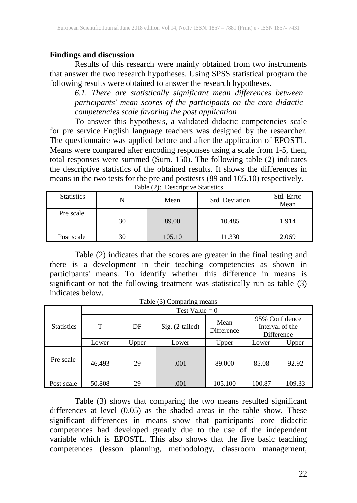## **Findings and discussion**

Results of this research were mainly obtained from two instruments that answer the two research hypotheses. Using SPSS statistical program the following results were obtained to answer the research hypotheses.

*6.1. There are statistically significant mean differences between participants' mean scores of the participants on the core didactic competencies scale favoring the post application*

To answer this hypothesis, a validated didactic competencies scale for pre service English language teachers was designed by the researcher. The questionnaire was applied before and after the application of EPOSTL. Means were compared after encoding responses using a scale from 1-5, then, total responses were summed (Sum. 150). The following table (2) indicates the descriptive statistics of the obtained results. It shows the differences in means in the two tests for the pre and posttests (89 and 105.10) respectively. Table (2): Descriptive Statistics

| <b>Statistics</b> | N  | Std. Deviation<br>Mean |        | Std. Error<br>Mean |  |
|-------------------|----|------------------------|--------|--------------------|--|
| Pre scale         | 30 | 89.00                  | 10.485 | 1.914              |  |
| Post scale        | 30 | 105.10                 | 11.330 | 2.069              |  |

Table (2) indicates that the scores are greater in the final testing and there is a development in their teaching competencies as shown in participants' means. To identify whether this difference in means is significant or not the following treatment was statistically run as table (3) indicates below.

Table (3) Comparing means

|                   | Test Value = $0$ |       |                 |                                                                              |        |        |  |  |  |  |
|-------------------|------------------|-------|-----------------|------------------------------------------------------------------------------|--------|--------|--|--|--|--|
| <b>Statistics</b> | T                | DF    | Sig. (2-tailed) | 95% Confidence<br>Mean<br>Interval of the<br><b>Difference</b><br>Difference |        |        |  |  |  |  |
|                   | Lower            | Upper | Lower           | Upper                                                                        | Lower  | Upper  |  |  |  |  |
| Pre scale         | 46.493           | 29    | .001            | 89.000                                                                       | 85.08  | 92.92  |  |  |  |  |
| Post scale        | 50.808           | 29    | .001            | 105.100                                                                      | 100.87 | 109.33 |  |  |  |  |

Table (3) shows that comparing the two means resulted significant differences at level (0.05) as the shaded areas in the table show. These significant differences in means show that participants' core didactic competences had developed greatly due to the use of the independent variable which is EPOSTL. This also shows that the five basic teaching competences (lesson planning, methodology, classroom management,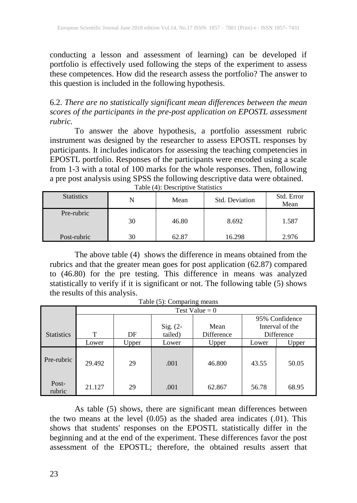conducting a lesson and assessment of learning) can be developed if portfolio is effectively used following the steps of the experiment to assess these competences. How did the research assess the portfolio? The answer to this question is included in the following hypothesis.

6.2. *There are no statistically significant mean differences between the mean scores of the participants in the pre-post application on EPOSTL assessment rubric.* 

To answer the above hypothesis, a portfolio assessment rubric instrument was designed by the researcher to assess EPOSTL responses by participants. It includes indicators for assessing the teaching competencies in EPOSTL portfolio. Responses of the participants were encoded using a scale from 1-3 with a total of 100 marks for the whole responses. Then, following a pre post analysis using SPSS the following descriptive data were obtained. Table (4): Descriptive Statistics

| <b>Statistics</b> | N  | Mean  | Std. Deviation | Std. Error<br>Mean |
|-------------------|----|-------|----------------|--------------------|
| Pre-rubric        | 30 | 46.80 | 8.692          | 1.587              |
| Post-rubric       | 30 | 62.87 | 16.298         | 2.976              |

The above table (4) shows the difference in means obtained from the rubrics and that the greater mean goes for post application (62.87) compared to (46.80) for the pre testing. This difference in means was analyzed statistically to verify if it is significant or not. The following table (5) shows the results of this analysis.

|                   | Test Value $= 0$ |       |            |            |                |                 |  |  |  |  |
|-------------------|------------------|-------|------------|------------|----------------|-----------------|--|--|--|--|
|                   |                  |       |            |            | 95% Confidence |                 |  |  |  |  |
|                   |                  |       | Sig. $(2-$ | Mean       |                | Interval of the |  |  |  |  |
| <b>Statistics</b> | T                | DF    | tailed)    | Difference |                | Difference      |  |  |  |  |
|                   | Lower            | Upper | Lower      | Upper      | Lower          | Upper           |  |  |  |  |
| Pre-rubric        | 29.492           | 29    | .001       | 46.800     | 43.55          | 50.05           |  |  |  |  |
| Post-<br>rubric   | 21.127           | 29    | .001       | 62.867     | 56.78          | 68.95           |  |  |  |  |

Table (5): Comparing means

As table (5) shows, there are significant mean differences between the two means at the level (0.05) as the shaded area indicates (.01). This shows that students' responses on the EPOSTL statistically differ in the beginning and at the end of the experiment. These differences favor the post assessment of the EPOSTL; therefore, the obtained results assert that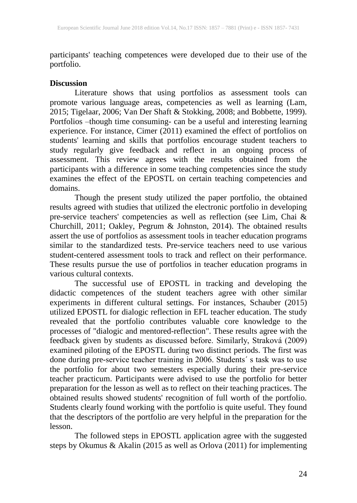participants' teaching competences were developed due to their use of the portfolio.

#### **Discussion**

Literature shows that using portfolios as assessment tools can promote various language areas, competencies as well as learning (Lam, 2015; Tigelaar, 2006; Van Der Shaft & Stokking, 2008; and Bobbette, 1999). Portfolios –though time consuming- can be a useful and interesting learning experience. For instance, Cimer (2011) examined the effect of portfolios on students' learning and skills that portfolios encourage student teachers to study regularly give feedback and reflect in an ongoing process of assessment. This review agrees with the results obtained from the participants with a difference in some teaching competencies since the study examines the effect of the EPOSTL on certain teaching competencies and domains.

Though the present study utilized the paper portfolio, the obtained results agreed with studies that utilized the electronic portfolio in developing pre-service teachers' competencies as well as reflection (see Lim, Chai & Churchill, 2011; Oakley, Pegrum & Johnston, 2014). The obtained results assert the use of portfolios as assessment tools in teacher education programs similar to the standardized tests. Pre-service teachers need to use various student-centered assessment tools to track and reflect on their performance. These results pursue the use of portfolios in teacher education programs in various cultural contexts.

The successful use of EPOSTL in tracking and developing the didactic competences of the student teachers agree with other similar experiments in different cultural settings. For instances, Schauber (2015) utilized EPOSTL for dialogic reflection in EFL teacher education. The study revealed that the portfolio contributes valuable core knowledge to the processes of "dialogic and mentored-reflection". These results agree with the feedback given by students as discussed before. Similarly, Straková (2009) examined piloting of the EPOSTL during two distinct periods. The first was done during pre-service teacher training in 2006. Students´ s task was to use the portfolio for about two semesters especially during their pre-service teacher practicum. Participants were advised to use the portfolio for better preparation for the lesson as well as to reflect on their teaching practices. The obtained results showed students' recognition of full worth of the portfolio. Students clearly found working with the portfolio is quite useful. They found that the descriptors of the portfolio are very helpful in the preparation for the lesson.

The followed steps in EPOSTL application agree with the suggested steps by Okumus & Akalin (2015 as well as Orlova (2011) for implementing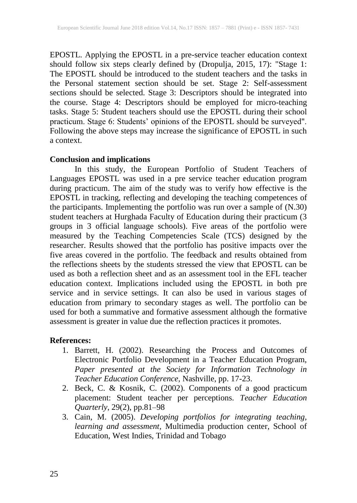EPOSTL. Applying the EPOSTL in a pre-service teacher education context should follow six steps clearly defined by (Dropulja, 2015, 17): "Stage 1: The EPOSTL should be introduced to the student teachers and the tasks in the Personal statement section should be set. Stage 2: Self-assessment sections should be selected. Stage 3: Descriptors should be integrated into the course. Stage 4: Descriptors should be employed for micro-teaching tasks. Stage 5: Student teachers should use the EPOSTL during their school practicum. Stage 6: Students' opinions of the EPOSTL should be surveyed". Following the above steps may increase the significance of EPOSTL in such a context.

#### **Conclusion and implications**

In this study, the European Portfolio of Student Teachers of Languages EPOSTL was used in a pre service teacher education program during practicum. The aim of the study was to verify how effective is the EPOSTL in tracking, reflecting and developing the teaching competences of the participants. Implementing the portfolio was run over a sample of (N.30) student teachers at Hurghada Faculty of Education during their practicum (3 groups in 3 official language schools). Five areas of the portfolio were measured by the Teaching Competencies Scale (TCS) designed by the researcher. Results showed that the portfolio has positive impacts over the five areas covered in the portfolio. The feedback and results obtained from the reflections sheets by the students stressed the view that EPOSTL can be used as both a reflection sheet and as an assessment tool in the EFL teacher education context. Implications included using the EPOSTL in both pre service and in service settings. It can also be used in various stages of education from primary to secondary stages as well. The portfolio can be used for both a summative and formative assessment although the formative assessment is greater in value due the reflection practices it promotes.

## **References:**

- 1. Barrett, H. (2002). Researching the Process and Outcomes of Electronic Portfolio Development in a Teacher Education Program, *Paper presented at the Society for Information Technology in Teacher Education Conference*, Nashville, pp. 17-23.
- 2. Beck, C. & Kosnik, C. (2002). Components of a good practicum placement: Student teacher per perceptions. *Teacher Education Quarterly*, 29(2), pp.81–98
- 3. Cain, M. (2005). *Developing portfolios for integrating teaching, learning and assessment,* Multimedia production center, School of Education, West Indies, Trinidad and Tobago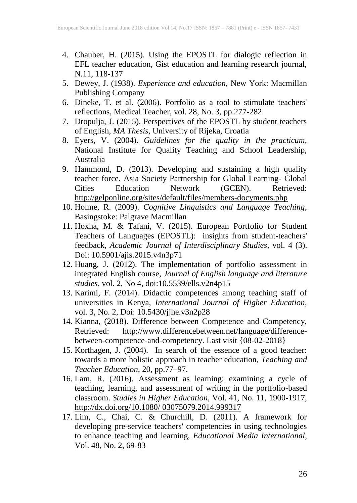- 4. Chauber, H. (2015). Using the EPOSTL for dialogic reflection in EFL teacher education, Gist education and learning research journal, N.11, 118-137
- 5. Dewey, J. (1938). *Experience and education*, New York: Macmillan Publishing Company
- 6. Dineke, T. et al. (2006). Portfolio as a tool to stimulate teachers' reflections, Medical Teacher, vol. 28, No. 3, pp.277-282
- 7. Dropulja, J. (2015). Perspectives of the EPOSTL by student teachers of English, *MA Thesis*, University of Rijeka, Croatia
- 8. Eyers, V. (2004). *Guidelines for the quality in the practicum*, National Institute for Quality Teaching and School Leadership, Australia
- 9. Hammond, D. (2013). Developing and sustaining a high quality teacher force. Asia Society Partnership for Global Learning- Global Cities Education Network (GCEN). Retrieved: <http://gelponline.org/sites/default/files/members-docyments.php>
- 10. Holme, R. (2009). *Cognitive Linguistics and Language Teaching*, Basingstoke: Palgrave Macmillan
- 11. Hoxha, M. & Tafani, V. (2015). European Portfolio for Student Teachers of Languages (EPOSTL): insights from student-teachers' feedback, *Academic Journal of Interdisciplinary Studies*, vol. 4 (3). Doi: 10.5901/ajis.2015.v4n3p71
- 12. Huang, J. (2012). The implementation of portfolio assessment in integrated English course, *Journal of English language and literature studies*, vol. 2, No 4, doi:10.5539/ells.v2n4p15
- 13. Karimi, F. (2014). Didactic competences among teaching staff of universities in Kenya, *International Journal of Higher Education*, vol. 3, No. 2, Doi: 10.5430/jjhe.v3n2p28
- 14. Kianna, (2018). Difference between Competence and Competency, Retrieved: [http://www.differencebetween.net/language/difference](http://www.differencebetween.net/language/difference-between-competence-and-competency)[between-competence-and-competency.](http://www.differencebetween.net/language/difference-between-competence-and-competency) Last visit {08-02-2018}
- 15. Korthagen, J. (2004). In search of the essence of a good teacher: towards a more holistic approach in teacher education, *Teaching and Teacher Education*, 20, pp.77–97.
- 16. Lam, R. (2016). Assessment as learning: examining a cycle of teaching, learning, and assessment of writing in the portfolio-based classroom. *Studies in Higher Education*, Vol. 41, No. 11, 1900-1917, [http://dx.doi.org/10.1080/ 03075079.2014.999317](http://dx.doi.org/10.1080/%2003075079.2014.999317)
- 17. Lim, C., Chai, C. & Churchill, D. (2011). A framework for developing pre-service teachers' competencies in using technologies to enhance teaching and learning, *Educational Media International*, Vol. 48, No. 2, 69-83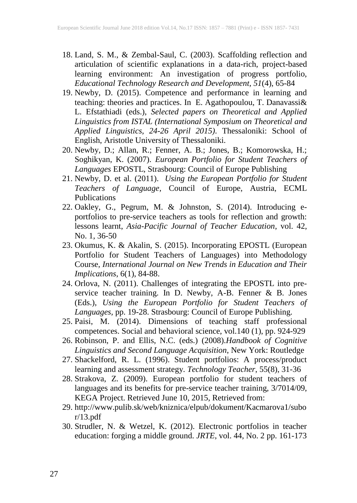- 18. Land, S. M., & Zembal-Saul, C. (2003). Scaffolding reflection and articulation of scientific explanations in a data-rich, project-based learning environment: An investigation of progress portfolio, *Educational Technology Research and Development, 51*(4), 65-84
- 19. Newby, D. (2015). Competence and performance in learning and teaching: theories and practices. In E. Agathopoulou, T. Danavassi& L. Efstathiadi (eds.), *Selected papers on Theoretical and Applied Linguistics from ISTAL (International Symposium on Theoretical and Applied Linguistics, 24-26 April 2015)*. Thessaloniki: School of English, Aristotle University of Thessaloniki.
- 20. Newby, D.; Allan, R.; Fenner, A. B.; Jones, B.; Komorowska, H.; Soghikyan, K. (2007). *European Portfolio for Student Teachers of Languages* EPOSTL, Strasbourg: Council of Europe Publishing
- 21. Newby, D. et al. (2011). *Using the European Portfolio for Student Teachers of Language,* Council of Europe, Austria, ECML Publications
- 22. Oakley, G., Pegrum, M. & Johnston, S. (2014). Introducing eportfolios to pre-service teachers as tools for reflection and growth: lessons learnt, *Asia-Pacific Journal of Teacher Education*, vol. 42, No. 1, 36-50
- 23. Okumus, K. & Akalin, S. (2015). Incorporating EPOSTL (European Portfolio for Student Teachers of Languages) into Methodology Course, *International Journal on New Trends in Education and Their Implications*, 6(1), 84-88.
- 24. Orlova, N. (2011). Challenges of integrating the EPOSTL into preservice teacher training. In D. Newby, A-B. Fenner & B. Jones (Eds.), *Using the European Portfolio for Student Teachers of Languages,* pp. 19-28. Strasbourg: Council of Europe Publishing.
- 25. Paisi, M. (2014). Dimensions of teaching staff professional competences. Social and behavioral science, vol.140 (1), pp. 924-929
- 26. Robinson, P. and Ellis, N.C. (eds.) (2008).*Handbook of Cognitive Linguistics and Second Language Acquisition*, New York: Routledge
- 27. Shackelford, R. L. (1996). Student portfolios: A process/product learning and assessment strategy. *Technology Teacher*, 55(8), 31-36
- 28. Strakova, Z. (2009). European portfolio for student teachers of languages and its benefits for pre-service teacher training, 3/7014/09, KEGA Project. Retrieved June 10, 2015, Retrieved from:
- 29. http://www.pulib.sk/web/kniznica/elpub/dokument/Kacmarova1/subo r/13.pdf
- 30. Strudler, N. & Wetzel, K. (2012). Electronic portfolios in teacher education: forging a middle ground. *JRTE*, vol. 44, No. 2 pp. 161-173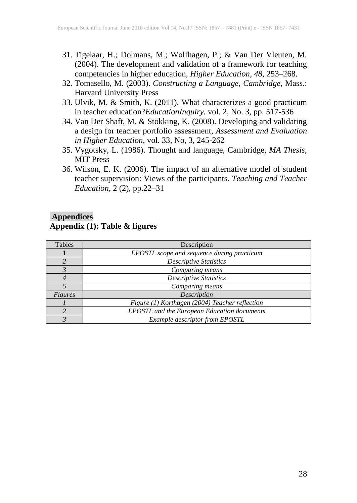- 31. Tigelaar, H.; Dolmans, M.; Wolfhagen, P.; & Van Der Vleuten, M. (2004). The development and validation of a framework for teaching competencies in higher education, *Higher Education*, *48*, 253–268.
- 32. Tomasello, M. (2003). *Constructing a Language, Cambridge*, Mass.: Harvard University Press
- 33. Ulvik, M. & Smith, K. (2011). What characterizes a good practicum in teacher education?*EducationInquiry.* vol. 2, No. 3, pp. 517-536
- 34. Van Der Shaft, M. & Stokking, K. (2008). Developing and validating a design for teacher portfolio assessment, *Assessment and Evaluation in Higher Education*, vol. 33, No, 3, 245-262
- 35. Vygotsky, L. (1986). Thought and language, Cambridge, *MA Thesis*, MIT Press
- 36. Wilson, E. K. (2006). The impact of an alternative model of student teacher supervision: Views of the participants. *Teaching and Teacher Education*, 2 (2), pp.22–31

## **Appendices Appendix (1): Table & figures**

| Tables  | Description                                        |
|---------|----------------------------------------------------|
|         | EPOSTL scope and sequence during practicum         |
|         | <b>Descriptive Statistics</b>                      |
|         | Comparing means                                    |
|         | <b>Descriptive Statistics</b>                      |
|         | Comparing means                                    |
| Figures | Description                                        |
|         | Figure (1) Korthagen (2004) Teacher reflection     |
|         | <b>EPOSTL</b> and the European Education documents |
|         | Example descriptor from EPOSTL                     |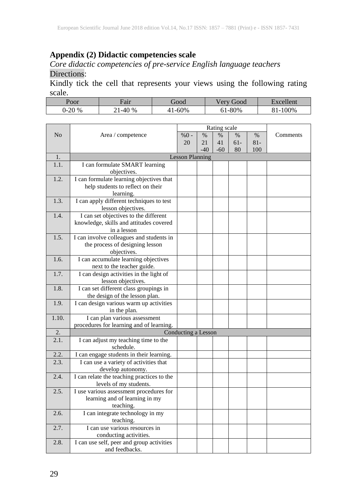## **Appendix (2) Didactic competencies scale**

#### *Core didactic competencies of pre-service English language teachers* Directions:

Kindly tick the cell that represents your views using the following rating scale.

| Poor     | Fair                | boot   | boot<br>'ery | $\exists$ xcellent |
|----------|---------------------|--------|--------------|--------------------|
| 0-20 $%$ | $-40^\circ$<br>$\%$ | $-60%$ | 61-80%       | $-100%$<br>01-     |

|       |                                                             |                        | Rating scale |       |        |        |          |
|-------|-------------------------------------------------------------|------------------------|--------------|-------|--------|--------|----------|
| No    | Area / competence                                           | $%0 -$                 | $\%$         | $\%$  | $\%$   | $\%$   | Comments |
|       |                                                             | 20                     | 21           | 41    | $61 -$ | $81 -$ |          |
|       |                                                             |                        | $-40$        | $-60$ | 80     | 100    |          |
| 1.    |                                                             | <b>Lesson Planning</b> |              |       |        |        |          |
| 1.1.  | I can formulate SMART learning                              |                        |              |       |        |        |          |
|       | objectives.                                                 |                        |              |       |        |        |          |
| 1.2.  | I can formulate learning objectives that                    |                        |              |       |        |        |          |
|       | help students to reflect on their                           |                        |              |       |        |        |          |
|       | learning.                                                   |                        |              |       |        |        |          |
| 1.3.  | I can apply different techniques to test                    |                        |              |       |        |        |          |
|       | lesson objectives.                                          |                        |              |       |        |        |          |
| 1.4.  | I can set objectives to the different                       |                        |              |       |        |        |          |
|       | knowledge, skills and attitudes covered                     |                        |              |       |        |        |          |
|       | in a lesson                                                 |                        |              |       |        |        |          |
| 1.5.  | I can involve colleagues and students in                    |                        |              |       |        |        |          |
|       | the process of designing lesson                             |                        |              |       |        |        |          |
|       | objectives.                                                 |                        |              |       |        |        |          |
| 1.6.  | I can accumulate learning objectives                        |                        |              |       |        |        |          |
|       | next to the teacher guide.                                  |                        |              |       |        |        |          |
| 1.7.  | I can design activities in the light of                     |                        |              |       |        |        |          |
|       | lesson objectives.                                          |                        |              |       |        |        |          |
| 1.8.  | I can set different class groupings in                      |                        |              |       |        |        |          |
|       | the design of the lesson plan.                              |                        |              |       |        |        |          |
| 1.9.  | I can design various warm up activities                     |                        |              |       |        |        |          |
|       | in the plan.                                                |                        |              |       |        |        |          |
| 1.10. | I can plan various assessment                               |                        |              |       |        |        |          |
|       | procedures for learning and of learning.                    |                        |              |       |        |        |          |
| 2.    |                                                             | Conducting a Lesson    |              |       |        |        |          |
| 2.1.  | I can adjust my teaching time to the                        |                        |              |       |        |        |          |
|       | schedule.                                                   |                        |              |       |        |        |          |
| 2.2.  | I can engage students in their learning.                    |                        |              |       |        |        |          |
| 2.3.  | I can use a variety of activities that<br>develop autonomy. |                        |              |       |        |        |          |
| 2.4.  | I can relate the teaching practices to the                  |                        |              |       |        |        |          |
|       | levels of my students.                                      |                        |              |       |        |        |          |
| 2.5.  | I use various assessment procedures for                     |                        |              |       |        |        |          |
|       | learning and of learning in my                              |                        |              |       |        |        |          |
|       | teaching.                                                   |                        |              |       |        |        |          |
| 2.6.  | I can integrate technology in my                            |                        |              |       |        |        |          |
|       | teaching.                                                   |                        |              |       |        |        |          |
| 2.7.  | I can use various resources in                              |                        |              |       |        |        |          |
|       | conducting activities.                                      |                        |              |       |        |        |          |
| 2.8.  | I can use self, peer and group activities                   |                        |              |       |        |        |          |
|       | and feedbacks.                                              |                        |              |       |        |        |          |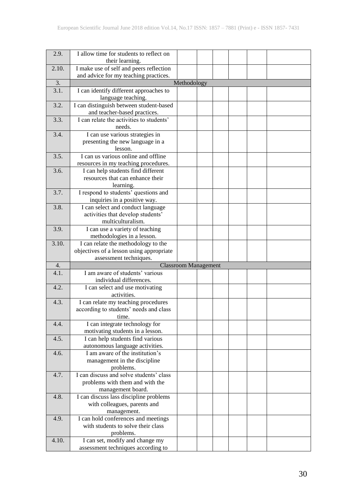| 2.9.               | I allow time for students to reflect on<br>their learning.                       |                             |  |  |  |
|--------------------|----------------------------------------------------------------------------------|-----------------------------|--|--|--|
|                    |                                                                                  |                             |  |  |  |
| 2.10.              | I make use of self and peers reflection<br>and advice for my teaching practices. |                             |  |  |  |
| 3.                 |                                                                                  | Methodology                 |  |  |  |
| $\overline{3.1}$ . | I can identify different approaches to                                           |                             |  |  |  |
|                    | language teaching.                                                               |                             |  |  |  |
| 3.2.               | I can distinguish between student-based                                          |                             |  |  |  |
|                    | and teacher-based practices.                                                     |                             |  |  |  |
| 3.3.               | I can relate the activities to students'                                         |                             |  |  |  |
|                    | needs.                                                                           |                             |  |  |  |
| 3.4.               | I can use various strategies in                                                  |                             |  |  |  |
|                    | presenting the new language in a                                                 |                             |  |  |  |
|                    | lesson.                                                                          |                             |  |  |  |
| 3.5.               | I can us various online and offline                                              |                             |  |  |  |
|                    | resources in my teaching procedures.                                             |                             |  |  |  |
| 3.6.               | I can help students find different                                               |                             |  |  |  |
|                    | resources that can enhance their                                                 |                             |  |  |  |
|                    | learning.                                                                        |                             |  |  |  |
| 3.7.               | I respond to students' questions and                                             |                             |  |  |  |
|                    | inquiries in a positive way.                                                     |                             |  |  |  |
| 3.8.               | I can select and conduct language                                                |                             |  |  |  |
|                    | activities that develop students'<br>multiculturalism.                           |                             |  |  |  |
| 3.9.               |                                                                                  |                             |  |  |  |
|                    | I can use a variety of teaching                                                  |                             |  |  |  |
| 3.10.              | methodologies in a lesson.<br>I can relate the methodology to the                |                             |  |  |  |
|                    | objectives of a lesson using appropriate                                         |                             |  |  |  |
|                    | assessment techniques.                                                           |                             |  |  |  |
| 4.                 |                                                                                  | <b>Classroom Management</b> |  |  |  |
| 4.1.               | I am aware of students' various                                                  |                             |  |  |  |
|                    | individual differences.                                                          |                             |  |  |  |
| 4.2.               | I can select and use motivating                                                  |                             |  |  |  |
|                    | activities.                                                                      |                             |  |  |  |
| 4.3.               | I can relate my teaching procedures                                              |                             |  |  |  |
|                    | according to students' needs and class                                           |                             |  |  |  |
|                    | time.                                                                            |                             |  |  |  |
| 4.4.               | I can integrate technology for                                                   |                             |  |  |  |
|                    | motivating students in a lesson.                                                 |                             |  |  |  |
| 4.5.               | I can help students find various                                                 |                             |  |  |  |
|                    | autonomous language activities.                                                  |                             |  |  |  |
| 4.6.               | I am aware of the institution's                                                  |                             |  |  |  |
|                    | management in the discipline                                                     |                             |  |  |  |
| 4.7.               | problems.<br>I can discuss and solve students' class                             |                             |  |  |  |
|                    | problems with them and with the                                                  |                             |  |  |  |
|                    | management board.                                                                |                             |  |  |  |
| 4.8.               | I can discuss lass discipline problems                                           |                             |  |  |  |
|                    | with colleagues, parents and                                                     |                             |  |  |  |
|                    | management.                                                                      |                             |  |  |  |
| 4.9.               | I can hold conferences and meetings                                              |                             |  |  |  |
|                    | with students to solve their class                                               |                             |  |  |  |
|                    | problems.                                                                        |                             |  |  |  |
| 4.10.              | I can set, modify and change my                                                  |                             |  |  |  |
|                    | assessment techniques according to                                               |                             |  |  |  |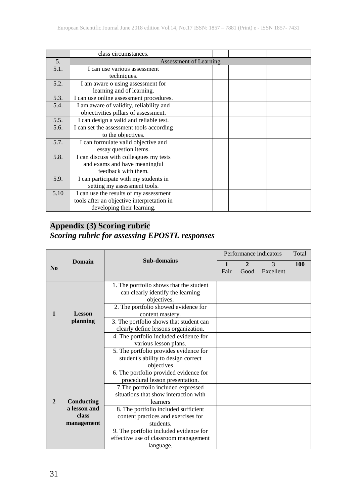|      | class circumstances.                       |  |  |  |  |  |  |  |
|------|--------------------------------------------|--|--|--|--|--|--|--|
| 5.   | Assessment of Learning                     |  |  |  |  |  |  |  |
| 5.1. | I can use various assessment               |  |  |  |  |  |  |  |
|      | techniques.                                |  |  |  |  |  |  |  |
| 5.2. | I am aware o using assessment for          |  |  |  |  |  |  |  |
|      | learning and of learning.                  |  |  |  |  |  |  |  |
| 5.3. | I can use online assessment procedures.    |  |  |  |  |  |  |  |
| 5.4. | I am aware of validity, reliability and    |  |  |  |  |  |  |  |
|      | objectivities pillars of assessment.       |  |  |  |  |  |  |  |
| 5.5. | I can design a valid and reliable test.    |  |  |  |  |  |  |  |
| 5.6. | I can set the assessment tools according   |  |  |  |  |  |  |  |
|      | to the objectives.                         |  |  |  |  |  |  |  |
| 5.7. | I can formulate valid objective and        |  |  |  |  |  |  |  |
|      | essay question items.                      |  |  |  |  |  |  |  |
| 5.8. | I can discuss with colleagues my tests     |  |  |  |  |  |  |  |
|      | and exams and have meaningful              |  |  |  |  |  |  |  |
|      | feedback with them.                        |  |  |  |  |  |  |  |
| 5.9. | I can participate with my students in      |  |  |  |  |  |  |  |
|      | setting my assessment tools.               |  |  |  |  |  |  |  |
| 5.10 | I can use the results of my assessment     |  |  |  |  |  |  |  |
|      | tools after an objective interpretation in |  |  |  |  |  |  |  |
|      | developing their learning.                 |  |  |  |  |  |  |  |

## **Appendix (3) Scoring rubric**  *Scoring rubric for assessing EPOSTL responses*

|                |               | <b>Sub-domains</b>                               |      |              | Performance indicators | Total |
|----------------|---------------|--------------------------------------------------|------|--------------|------------------------|-------|
| N <sub>0</sub> | <b>Domain</b> |                                                  |      | $\mathbf{2}$ | $\mathcal{F}$          | 100   |
|                |               |                                                  | Fair | Good         | Excellent              |       |
|                |               |                                                  |      |              |                        |       |
|                |               | 1. The portfolio shows that the student          |      |              |                        |       |
|                |               | can clearly identify the learning<br>objectives. |      |              |                        |       |
|                |               | 2. The portfolio showed evidence for             |      |              |                        |       |
| $\mathbf{1}$   | <b>Lesson</b> | content mastery.                                 |      |              |                        |       |
|                | planning      | 3. The portfolio shows that student can          |      |              |                        |       |
|                |               | clearly define lessons organization.             |      |              |                        |       |
|                |               | 4. The portfolio included evidence for           |      |              |                        |       |
|                |               | various lesson plans.                            |      |              |                        |       |
|                |               | 5. The portfolio provides evidence for           |      |              |                        |       |
|                |               | student's ability to design correct              |      |              |                        |       |
|                |               | objectives                                       |      |              |                        |       |
|                |               | 6. The portfolio provided evidence for           |      |              |                        |       |
|                |               | procedural lesson presentation.                  |      |              |                        |       |
|                |               | 7. The portfolio included expressed              |      |              |                        |       |
|                |               | situations that show interaction with            |      |              |                        |       |
| $\mathbf{2}$   | Conducting    | learners                                         |      |              |                        |       |
|                | a lesson and  | 8. The portfolio included sufficient             |      |              |                        |       |
|                | class         | content practices and exercises for              |      |              |                        |       |
|                | management    | students.                                        |      |              |                        |       |
|                |               | 9. The portfolio included evidence for           |      |              |                        |       |
|                |               | effective use of classroom management            |      |              |                        |       |
|                |               | language.                                        |      |              |                        |       |